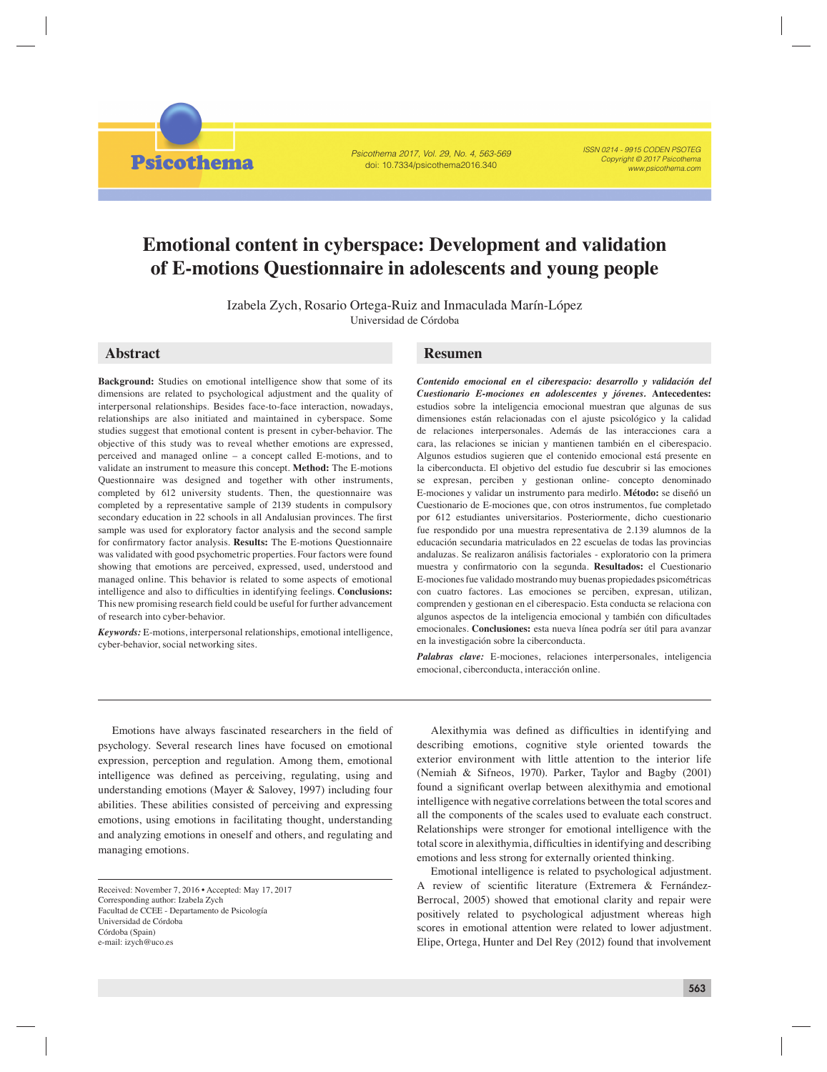Psicothema 2017, Vol. 29, No. 4, 563-569 doi: 10.7334/psicothema2016.340

ISSN 0214 - 9915 CODEN PSOTEG Copyright © 2017 Psicothema www.psicothema.com

# **Emotional content in cyberspace: Development and validation of E-motions Questionnaire in adolescents and young people**

Izabela Zych, Rosario Ortega-Ruiz and Inmaculada Marín-López Universidad de Córdoba

# **Abstract Resumen**

**Psicothema** 

**Background:** Studies on emotional intelligence show that some of its dimensions are related to psychological adjustment and the quality of interpersonal relationships. Besides face-to-face interaction, nowadays, relationships are also initiated and maintained in cyberspace. Some studies suggest that emotional content is present in cyber-behavior. The objective of this study was to reveal whether emotions are expressed, perceived and managed online – a concept called E-motions, and to validate an instrument to measure this concept. **Method:** The E-motions Questionnaire was designed and together with other instruments, completed by 612 university students. Then, the questionnaire was completed by a representative sample of 2139 students in compulsory secondary education in 22 schools in all Andalusian provinces. The first sample was used for exploratory factor analysis and the second sample for confirmatory factor analysis. **Results:** The E-motions Questionnaire was validated with good psychometric properties. Four factors were found showing that emotions are perceived, expressed, used, understood and managed online. This behavior is related to some aspects of emotional intelligence and also to difficulties in identifying feelings. **Conclusions:** This new promising research field could be useful for further advancement of research into cyber-behavior.

*Keywords:* E-motions, interpersonal relationships, emotional intelligence, cyber-behavior, social networking sites.

*Contenido emocional en el ciberespacio: desarrollo y validación del Cuestionario E-mociones en adolescentes y jóvenes.* **Antecedentes:** estudios sobre la inteligencia emocional muestran que algunas de sus dimensiones están relacionadas con el ajuste psicológico y la calidad de relaciones interpersonales. Además de las interacciones cara a cara, las relaciones se inician y mantienen también en el ciberespacio. Algunos estudios sugieren que el contenido emocional está presente en la ciberconducta. El objetivo del estudio fue descubrir si las emociones se expresan, perciben y gestionan online- concepto denominado E-mociones y validar un instrumento para medirlo. **Método:** se diseñó un Cuestionario de E-mociones que, con otros instrumentos, fue completado por 612 estudiantes universitarios. Posteriormente, dicho cuestionario fue respondido por una muestra representativa de 2.139 alumnos de la educación secundaria matriculados en 22 escuelas de todas las provincias andaluzas. Se realizaron análisis factoriales - exploratorio con la primera muestra y confirmatorio con la segunda. Resultados: el Cuestionario E-mociones fue validado mostrando muy buenas propiedades psicométricas con cuatro factores. Las emociones se perciben, expresan, utilizan, comprenden y gestionan en el ciberespacio. Esta conducta se relaciona con algunos aspectos de la inteligencia emocional y también con dificultades emocionales. **Conclusiones:** esta nueva línea podría ser útil para avanzar en la investigación sobre la ciberconducta.

*Palabras clave:* E-mociones, relaciones interpersonales, inteligencia emocional, ciberconducta, interacción online.

Emotions have always fascinated researchers in the field of psychology. Several research lines have focused on emotional expression, perception and regulation. Among them, emotional intelligence was defined as perceiving, regulating, using and understanding emotions (Mayer & Salovey, 1997) including four abilities. These abilities consisted of perceiving and expressing emotions, using emotions in facilitating thought, understanding and analyzing emotions in oneself and others, and regulating and managing emotions.

Alexithymia was defined as difficulties in identifying and describing emotions, cognitive style oriented towards the exterior environment with little attention to the interior life (Nemiah & Sifneos, 1970). Parker, Taylor and Bagby (2001) found a significant overlap between alexithymia and emotional intelligence with negative correlations between the total scores and all the components of the scales used to evaluate each construct. Relationships were stronger for emotional intelligence with the total score in alexithymia, difficulties in identifying and describing emotions and less strong for externally oriented thinking.

Emotional intelligence is related to psychological adjustment. A review of scientific literature (Extremera & Fernández-Berrocal, 2005) showed that emotional clarity and repair were positively related to psychological adjustment whereas high scores in emotional attention were related to lower adjustment. Elipe, Ortega, Hunter and Del Rey (2012) found that involvement

Received: November 7, 2016 • Accepted: May 17, 2017 Corresponding author: Izabela Zych Facultad de CCEE - Departamento de Psicología Universidad de Córdoba Córdoba (Spain) e-mail: izych@uco.es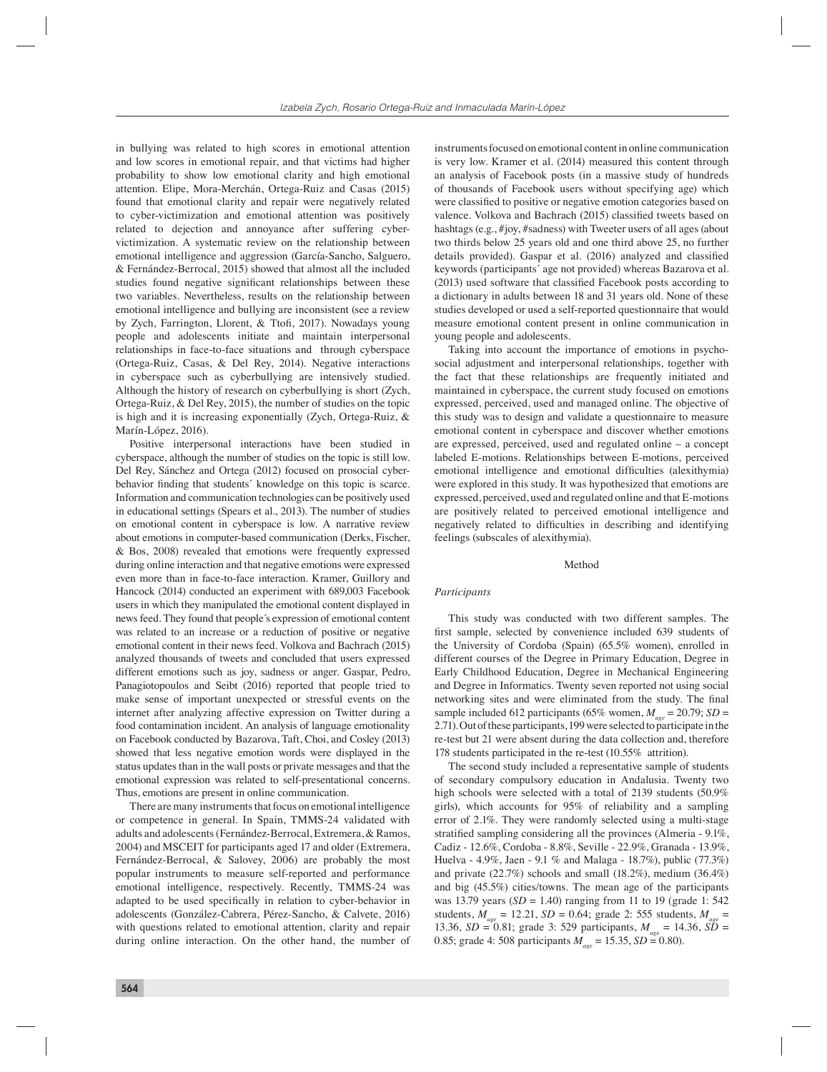in bullying was related to high scores in emotional attention and low scores in emotional repair, and that victims had higher probability to show low emotional clarity and high emotional attention. Elipe, Mora-Merchán, Ortega-Ruiz and Casas (2015) found that emotional clarity and repair were negatively related to cyber-victimization and emotional attention was positively related to dejection and annoyance after suffering cybervictimization. A systematic review on the relationship between emotional intelligence and aggression (García-Sancho, Salguero, & Fernández-Berrocal, 2015) showed that almost all the included studies found negative significant relationships between these two variables. Nevertheless, results on the relationship between emotional intelligence and bullying are inconsistent (see a review by Zych, Farrington, Llorent, & Ttofi, 2017). Nowadays young people and adolescents initiate and maintain interpersonal relationships in face-to-face situations and through cyberspace (Ortega-Ruiz, Casas, & Del Rey, 2014). Negative interactions in cyberspace such as cyberbullying are intensively studied. Although the history of research on cyberbullying is short (Zych, Ortega-Ruiz, & Del Rey, 2015), the number of studies on the topic is high and it is increasing exponentially (Zych, Ortega-Ruiz, & Marín-López, 2016).

Positive interpersonal interactions have been studied in cyberspace, although the number of studies on the topic is still low. Del Rey, Sánchez and Ortega (2012) focused on prosocial cyberbehavior finding that students' knowledge on this topic is scarce. Information and communication technologies can be positively used in educational settings (Spears et al., 2013). The number of studies on emotional content in cyberspace is low. A narrative review about emotions in computer-based communication (Derks, Fischer, & Bos, 2008) revealed that emotions were frequently expressed during online interaction and that negative emotions were expressed even more than in face-to-face interaction. Kramer, Guillory and Hancock (2014) conducted an experiment with 689,003 Facebook users in which they manipulated the emotional content displayed in news feed. They found that people´s expression of emotional content was related to an increase or a reduction of positive or negative emotional content in their news feed. Volkova and Bachrach (2015) analyzed thousands of tweets and concluded that users expressed different emotions such as joy, sadness or anger. Gaspar, Pedro, Panagiotopoulos and Seibt (2016) reported that people tried to make sense of important unexpected or stressful events on the internet after analyzing affective expression on Twitter during a food contamination incident. An analysis of language emotionality on Facebook conducted by Bazarova, Taft, Choi, and Cosley (2013) showed that less negative emotion words were displayed in the status updates than in the wall posts or private messages and that the emotional expression was related to self-presentational concerns. Thus, emotions are present in online communication.

There are many instruments that focus on emotional intelligence or competence in general. In Spain, TMMS-24 validated with adults and adolescents (Fernández-Berrocal, Extremera, & Ramos, 2004) and MSCEIT for participants aged 17 and older (Extremera, Fernández-Berrocal, & Salovey, 2006) are probably the most popular instruments to measure self-reported and performance emotional intelligence, respectively. Recently, TMMS-24 was adapted to be used specifically in relation to cyber-behavior in adolescents (González-Cabrera, Pérez-Sancho, & Calvete, 2016) with questions related to emotional attention, clarity and repair during online interaction. On the other hand, the number of instruments focused on emotional content in online communication is very low. Kramer et al. (2014) measured this content through an analysis of Facebook posts (in a massive study of hundreds of thousands of Facebook users without specifying age) which were classified to positive or negative emotion categories based on valence. Volkova and Bachrach (2015) classified tweets based on hashtags (e.g., #joy, #sadness) with Tweeter users of all ages (about two thirds below 25 years old and one third above 25, no further details provided). Gaspar et al. (2016) analyzed and classified keywords (participants´ age not provided) whereas Bazarova et al.  $(2013)$  used software that classified Facebook posts according to a dictionary in adults between 18 and 31 years old. None of these studies developed or used a self-reported questionnaire that would measure emotional content present in online communication in young people and adolescents.

Taking into account the importance of emotions in psychosocial adjustment and interpersonal relationships, together with the fact that these relationships are frequently initiated and maintained in cyberspace, the current study focused on emotions expressed, perceived, used and managed online. The objective of this study was to design and validate a questionnaire to measure emotional content in cyberspace and discover whether emotions are expressed, perceived, used and regulated online – a concept labeled E-motions. Relationships between E-motions, perceived emotional intelligence and emotional difficulties (alexithymia) were explored in this study. It was hypothesized that emotions are expressed, perceived, used and regulated online and that E-motions are positively related to perceived emotional intelligence and negatively related to difficulties in describing and identifying feelings (subscales of alexithymia).

# Method

## *Participants*

This study was conducted with two different samples. The first sample, selected by convenience included 639 students of the University of Cordoba (Spain) (65.5% women), enrolled in different courses of the Degree in Primary Education, Degree in Early Childhood Education, Degree in Mechanical Engineering and Degree in Informatics. Twenty seven reported not using social networking sites and were eliminated from the study. The final sample included 612 participants (65% women,  $M_{\text{age}} = 20.79$ ; *SD* = 2.71). Out of these participants, 199 were selected to participate in the re-test but 21 were absent during the data collection and, therefore 178 students participated in the re-test (10.55% attrition).

The second study included a representative sample of students of secondary compulsory education in Andalusia. Twenty two high schools were selected with a total of 2139 students (50.9% girls), which accounts for 95% of reliability and a sampling error of 2.1%. They were randomly selected using a multi-stage stratified sampling considering all the provinces (Almeria -  $9.1\%$ , Cadiz - 12.6%, Cordoba - 8.8%, Seville - 22.9%, Granada - 13.9%, Huelva - 4.9%, Jaen - 9.1 % and Malaga - 18.7%), public (77.3%) and private (22.7%) schools and small (18.2%), medium (36.4%) and big (45.5%) cities/towns. The mean age of the participants was 13.79 years (*SD* = 1.40) ranging from 11 to 19 (grade 1: 542 students,  $M_{age} = 12.21$ ,  $SD = 0.64$ ; grade 2: 555 students,  $M_{age} =$ 13.36, *SD* = 0.81; grade 3: 529 participants, *Mage* = 14.36, *SD* = 0.85; grade 4: 508 participants  $M_{\text{age}} = 15.35$ ,  $SD = 0.80$ ).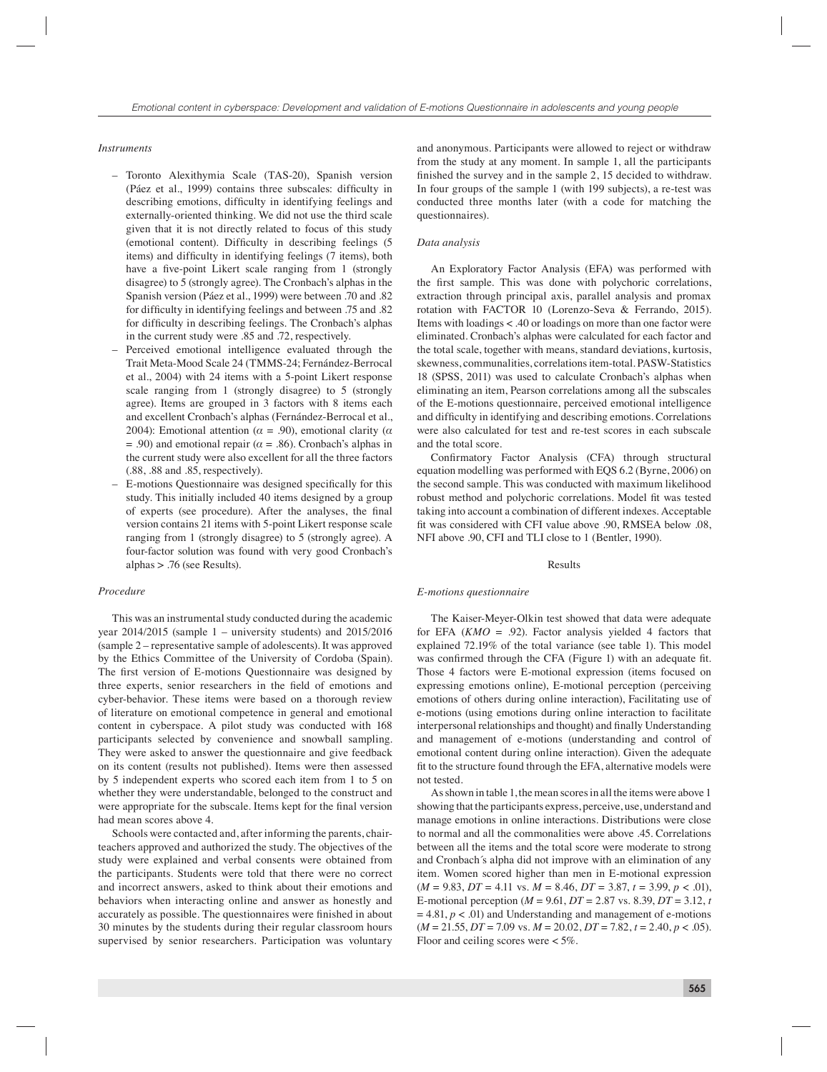#### *Instruments*

- Toronto Alexithymia Scale (TAS-20), Spanish version (Páez et al., 1999) contains three subscales: difficulty in describing emotions, difficulty in identifying feelings and externally-oriented thinking. We did not use the third scale given that it is not directly related to focus of this study (emotional content). Difficulty in describing feelings (5) items) and difficulty in identifying feelings (7 items), both have a five-point Likert scale ranging from 1 (strongly disagree) to 5 (strongly agree). The Cronbach's alphas in the Spanish version (Páez et al., 1999) were between .70 and .82 for difficulty in identifying feelings and between .75 and .82 for difficulty in describing feelings. The Cronbach's alphas in the current study were .85 and .72, respectively.
- Perceived emotional intelligence evaluated through the Trait Meta-Mood Scale 24 (TMMS-24; Fernández-Berrocal et al., 2004) with 24 items with a 5-point Likert response scale ranging from 1 (strongly disagree) to 5 (strongly agree). Items are grouped in 3 factors with 8 items each and excellent Cronbach's alphas (Fernández-Berrocal et al., 2004): Emotional attention ( $\alpha$  = .90), emotional clarity ( $\alpha$  $= .90$ ) and emotional repair ( $\alpha = .86$ ). Cronbach's alphas in the current study were also excellent for all the three factors (.88, .88 and .85, respectively).
- E-motions Questionnaire was designed specifically for this study. This initially included 40 items designed by a group of experts (see procedure). After the analyses, the final version contains 21 items with 5-point Likert response scale ranging from 1 (strongly disagree) to 5 (strongly agree). A four-factor solution was found with very good Cronbach's alphas > .76 (see Results).

## *Procedure*

This was an instrumental study conducted during the academic year 2014/2015 (sample 1 – university students) and 2015/2016 (sample 2 – representative sample of adolescents). It was approved by the Ethics Committee of the University of Cordoba (Spain). The first version of E-motions Questionnaire was designed by three experts, senior researchers in the field of emotions and cyber-behavior. These items were based on a thorough review of literature on emotional competence in general and emotional content in cyberspace. A pilot study was conducted with 168 participants selected by convenience and snowball sampling. They were asked to answer the questionnaire and give feedback on its content (results not published). Items were then assessed by 5 independent experts who scored each item from 1 to 5 on whether they were understandable, belonged to the construct and were appropriate for the subscale. Items kept for the final version had mean scores above 4.

Schools were contacted and, after informing the parents, chairteachers approved and authorized the study. The objectives of the study were explained and verbal consents were obtained from the participants. Students were told that there were no correct and incorrect answers, asked to think about their emotions and behaviors when interacting online and answer as honestly and accurately as possible. The questionnaires were finished in about 30 minutes by the students during their regular classroom hours supervised by senior researchers. Participation was voluntary

and anonymous. Participants were allowed to reject or withdraw from the study at any moment. In sample 1, all the participants finished the survey and in the sample 2, 15 decided to withdraw. In four groups of the sample 1 (with 199 subjects), a re-test was conducted three months later (with a code for matching the questionnaires).

# *Data analysis*

An Exploratory Factor Analysis (EFA) was performed with the first sample. This was done with polychoric correlations, extraction through principal axis, parallel analysis and promax rotation with FACTOR 10 (Lorenzo-Seva & Ferrando, 2015). Items with loadings < .40 or loadings on more than one factor were eliminated. Cronbach's alphas were calculated for each factor and the total scale, together with means, standard deviations, kurtosis, skewness, communalities, correlations item-total. PASW-Statistics 18 (SPSS, 2011) was used to calculate Cronbach's alphas when eliminating an item, Pearson correlations among all the subscales of the E-motions questionnaire, perceived emotional intelligence and difficulty in identifying and describing emotions. Correlations were also calculated for test and re-test scores in each subscale and the total score.

Confirmatory Factor Analysis (CFA) through structural equation modelling was performed with EQS 6.2 (Byrne, 2006) on the second sample. This was conducted with maximum likelihood robust method and polychoric correlations. Model fit was tested taking into account a combination of different indexes. Acceptable fit was considered with CFI value above .90, RMSEA below .08, NFI above .90, CFI and TLI close to 1 (Bentler, 1990).

# Results

#### *E-motions questionnaire*

The Kaiser-Meyer-Olkin test showed that data were adequate for EFA (*KMO* = .92). Factor analysis yielded 4 factors that explained 72.19% of the total variance (see table 1). This model was confirmed through the CFA (Figure 1) with an adequate fit. Those 4 factors were E-motional expression (items focused on expressing emotions online), E-motional perception (perceiving emotions of others during online interaction), Facilitating use of e-motions (using emotions during online interaction to facilitate interpersonal relationships and thought) and finally Understanding and management of e-motions (understanding and control of emotional content during online interaction). Given the adequate fit to the structure found through the EFA, alternative models were not tested.

As shown in table 1, the mean scores in all the items were above 1 showing that the participants express, perceive, use, understand and manage emotions in online interactions. Distributions were close to normal and all the commonalities were above .45. Correlations between all the items and the total score were moderate to strong and Cronbach´s alpha did not improve with an elimination of any item. Women scored higher than men in E-motional expression  $(M = 9.83, DT = 4.11$  vs.  $M = 8.46, DT = 3.87, t = 3.99, p < .01$ , E-motional perception (*M* = 9.61, *DT* = 2.87 vs. 8.39, *DT* = 3.12, *t*   $= 4.81, p < .01$ ) and Understanding and management of e-motions  $(M = 21.55, DT = 7.09$  vs.  $M = 20.02, DT = 7.82, t = 2.40, p < .05$ . Floor and ceiling scores were < 5%.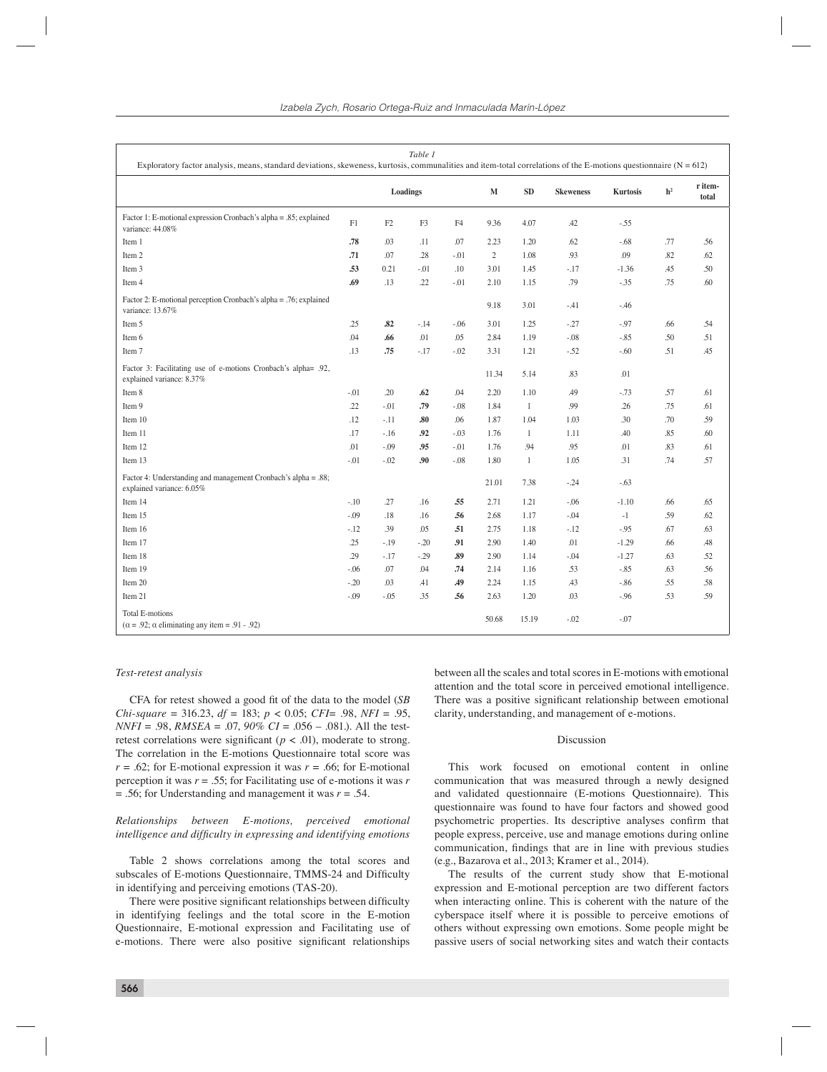| Table 1<br>Exploratory factor analysis, means, standard deviations, skeweness, kurtosis, communalities and item-total correlations of the E-motions questionnaire $(N = 612)$ |          |                |             |           |                  |                 |                |                  |     |     |  |
|-------------------------------------------------------------------------------------------------------------------------------------------------------------------------------|----------|----------------|-------------|-----------|------------------|-----------------|----------------|------------------|-----|-----|--|
|                                                                                                                                                                               | Loadings |                | $\mathbf M$ | SD        | <b>Skeweness</b> | <b>Kurtosis</b> | h <sup>2</sup> | r item-<br>total |     |     |  |
| Factor 1: E-motional expression Cronbach's alpha = .85; explained<br>variance: 44.08%                                                                                         | F1       | F <sub>2</sub> | F3          | F4        | 9.36             | 4.07            | .42            | $-.55$           |     |     |  |
| Item 1                                                                                                                                                                        | .78      | .03            | .11         | .07       | 2.23             | 1.20            | .62            | $-.68$           | .77 | .56 |  |
| Item 2                                                                                                                                                                        | .71      | .07            | .28         | $-.01$    | $\overline{c}$   | 1.08            | .93            | .09              | .82 | .62 |  |
| Item 3                                                                                                                                                                        | .53      | 0.21           | $-.01$      | .10       | 3.01             | 1.45            | $-.17$         | $-1.36$          | .45 | .50 |  |
| Item 4                                                                                                                                                                        | .69      | .13            | .22         | $-.01$    | 2.10             | 1.15            | .79            | $-35$            | .75 | .60 |  |
| Factor 2: E-motional perception Cronbach's alpha = .76; explained<br>variance: 13.67%                                                                                         |          |                |             |           | 9.18             | 3.01            | $-41$          | $-46$            |     |     |  |
| Item 5                                                                                                                                                                        | .25      | .82            | $-.14$      | $-0.06$   | 3.01             | 1.25            | $-.27$         | $-97$            | .66 | .54 |  |
| Item 6                                                                                                                                                                        | .04      | .66            | .01         | .05       | 2.84             | 1.19            | $-.08$         | $-.85$           | .50 | .51 |  |
| Item 7                                                                                                                                                                        | .13      | .75            | $-.17$      | $-.02$    | 3.31             | 1.21            | $-.52$         | $-.60$           | .51 | .45 |  |
| Factor 3: Facilitating use of e-motions Cronbach's alpha= .92,<br>explained variance: 8.37%                                                                                   |          |                |             |           | 11.34            | 5.14            | .83            | .01              |     |     |  |
| Item 8                                                                                                                                                                        | $-0.01$  | .20            | .62         | .04       | 2.20             | 1.10            | .49            | $-0.73$          | .57 | .61 |  |
| Item 9                                                                                                                                                                        | .22      | $-.01$         | .79         | $-.08$    | 1.84             | 1               | .99            | .26              | .75 | .61 |  |
| Item 10                                                                                                                                                                       | .12      | $-.11$         | .80         | .06       | 1.87             | 1.04            | 1.03           | .30              | .70 | .59 |  |
| Item 11                                                                                                                                                                       | .17      | $-.16$         | .92         | $-.03$    | 1.76             | $\mathbf{1}$    | 1.11           | .40              | .85 | .60 |  |
| Item 12                                                                                                                                                                       | .01      | $-.09$         | .95         | $-.01$    | 1.76             | .94             | .95            | .01              | .83 | .61 |  |
| Item 13                                                                                                                                                                       | $-.01$   | $-.02$         | .90         | $-.08$    | 1.80             | $\mathbf{1}$    | 1.05           | .31              | .74 | .57 |  |
| Factor 4: Understanding and management Cronbach's alpha = .88;<br>explained variance: 6.05%                                                                                   |          |                |             |           | 21.01            | 7.38            | $-.24$         | $-.63$           |     |     |  |
| Item 14                                                                                                                                                                       | $-.10$   | .27            | .16         | .55       | 2.71             | 1.21            | $-.06$         | $-1.10$          | .66 | .65 |  |
| Item 15                                                                                                                                                                       | $-.09$   | .18            | .16         | .56       | 2.68             | 1.17            | $-.04$         | $-1$             | .59 | .62 |  |
| Item 16                                                                                                                                                                       | $-.12$   | .39            | .05         | .51       | 2.75             | 1.18            | $-.12$         | $-.95$           | .67 | .63 |  |
| Item 17                                                                                                                                                                       | .25      | $-.19$         | $-.20$      | .91       | 2.90             | 1.40            | .01            | $-1.29$          | .66 | .48 |  |
| Item 18                                                                                                                                                                       | .29      | $-.17$         | $-.29$      | .89       | 2.90             | 1.14            | $-.04$         | $-1.27$          | .63 | .52 |  |
| Item 19                                                                                                                                                                       | $-.06$   | .07            | .04         | .74       | 2.14             | 1.16            | .53            | $-.85$           | .63 | .56 |  |
| Item 20                                                                                                                                                                       | $-20$    | .03            | .41         | <b>A9</b> | 2.24             | 1.15            | .43            | $-.86$           | .55 | .58 |  |
| Item 21                                                                                                                                                                       | $-.09$   | $-.05$         | .35         | .56       | 2.63             | 1.20            | .03            | $-96$            | .53 | .59 |  |
| <b>Total E-motions</b><br>$(\alpha = .92; \alpha$ eliminating any item = .91 - .92)                                                                                           |          |                |             |           | 50.68            | 15.19           | $-.02$         | $-.07$           |     |     |  |

# *Test-retest analysis*

CFA for retest showed a good fit of the data to the model (*SB Chi-square* = 316.23, *df* = 183; *p* < 0.05; *CFI*= .98, *NFI* = .95, *NNFI* = .98, *RMSEA* = .07, *90% CI* = .056 – .081.). All the testretest correlations were significant ( $p < .01$ ), moderate to strong. The correlation in the E-motions Questionnaire total score was  $r = .62$ ; for E-motional expression it was  $r = .66$ ; for E-motional perception it was *r* = .55; for Facilitating use of e-motions it was *r* = .56; for Understanding and management it was *r* = .54.

# *Relationships between E-motions, perceived emotional intelligence and difficulty in expressing and identifying emotions*

Table 2 shows correlations among the total scores and subscales of E-motions Questionnaire, TMMS-24 and Difficulty in identifying and perceiving emotions (TAS-20).

There were positive significant relationships between difficulty in identifying feelings and the total score in the E-motion Questionnaire, E-motional expression and Facilitating use of e-motions. There were also positive significant relationships between all the scales and total scores in E-motions with emotional attention and the total score in perceived emotional intelligence. There was a positive significant relationship between emotional clarity, understanding, and management of e-motions.

#### Discussion

This work focused on emotional content in online communication that was measured through a newly designed and validated questionnaire (E-motions Questionnaire). This questionnaire was found to have four factors and showed good psychometric properties. Its descriptive analyses confirm that people express, perceive, use and manage emotions during online communication, findings that are in line with previous studies (e.g., Bazarova et al., 2013; Kramer et al., 2014).

The results of the current study show that E-motional expression and E-motional perception are two different factors when interacting online. This is coherent with the nature of the cyberspace itself where it is possible to perceive emotions of others without expressing own emotions. Some people might be passive users of social networking sites and watch their contacts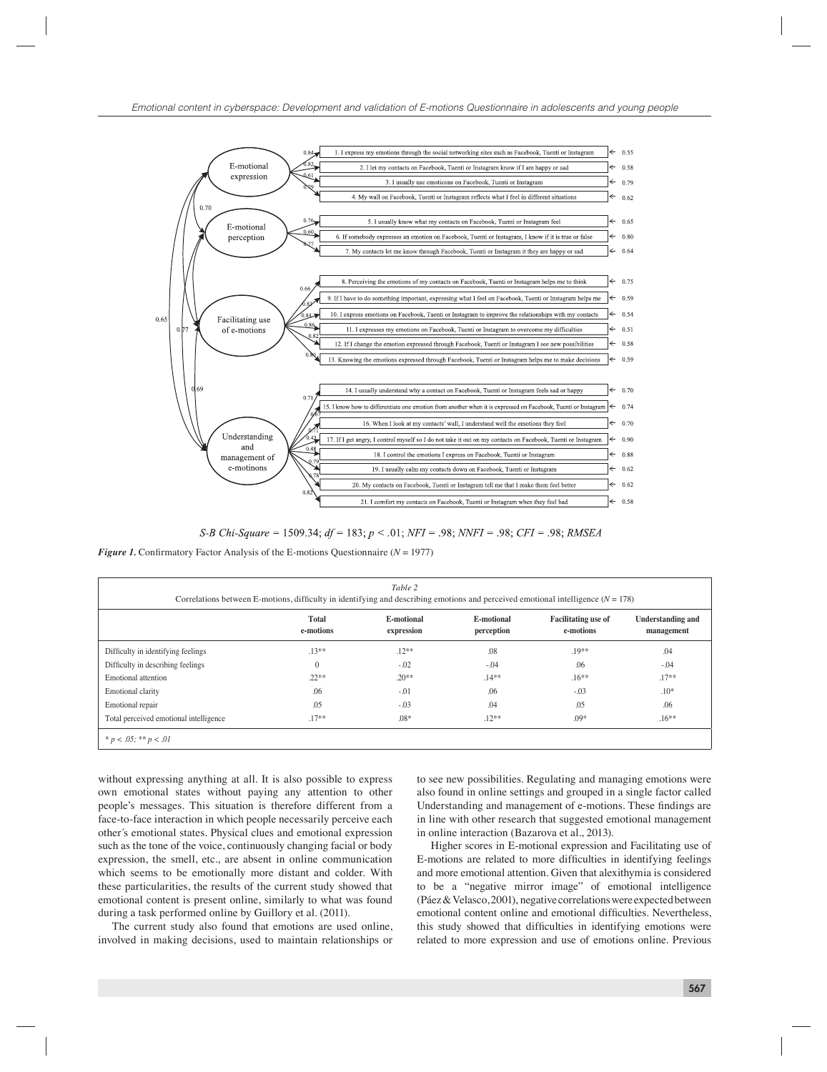

S-B Chi-Square = 1509.34;  $df = 183$ ;  $p < .01$ ; NFI = .98; NNFI = .98; CFI = .98; RMSEA

*Figure 1.* Confirmatory Factor Analysis of the E-motions Questionnaire ( $N = 1977$ )

| Table 2<br>Correlations between E-motions, difficulty in identifying and describing emotions and perceived emotional intelligence $(N = 178)$ |                           |                          |                          |                                         |                                        |  |  |  |  |  |  |
|-----------------------------------------------------------------------------------------------------------------------------------------------|---------------------------|--------------------------|--------------------------|-----------------------------------------|----------------------------------------|--|--|--|--|--|--|
|                                                                                                                                               | <b>Total</b><br>e-motions | E-motional<br>expression | E-motional<br>perception | <b>Facilitating use of</b><br>e-motions | <b>Understanding and</b><br>management |  |  |  |  |  |  |
| Difficulty in identifying feelings                                                                                                            | $.13**$                   | $.12**$                  | .08                      | $.19**$                                 | .04                                    |  |  |  |  |  |  |
| Difficulty in describing feelings                                                                                                             | $\mathbf{0}$              | $-.02$                   | $-.04$                   | .06                                     | $-.04$                                 |  |  |  |  |  |  |
| Emotional attention                                                                                                                           | $.22**$                   | $.20**$                  | $.14**$                  | $.16***$                                | $.17**$                                |  |  |  |  |  |  |
| Emotional clarity                                                                                                                             | .06                       | $-0.01$                  | .06                      | $-0.03$                                 | $.10*$                                 |  |  |  |  |  |  |
| Emotional repair                                                                                                                              | .05                       | $-.03$                   | .04                      | .05                                     | .06                                    |  |  |  |  |  |  |
| Total perceived emotional intelligence                                                                                                        | $.17**$                   | $.08*$                   | $.12**$                  | $.09*$                                  | $.16**$                                |  |  |  |  |  |  |
| * $p < .05$ ; ** $p < .01$                                                                                                                    |                           |                          |                          |                                         |                                        |  |  |  |  |  |  |

without expressing anything at all. It is also possible to express own emotional states without paying any attention to other people's messages. This situation is therefore different from a face-to-face interaction in which people necessarily perceive each other´s emotional states. Physical clues and emotional expression such as the tone of the voice, continuously changing facial or body expression, the smell, etc., are absent in online communication which seems to be emotionally more distant and colder. With these particularities, the results of the current study showed that emotional content is present online, similarly to what was found during a task performed online by Guillory et al. (2011).

The current study also found that emotions are used online, involved in making decisions, used to maintain relationships or

to see new possibilities. Regulating and managing emotions were also found in online settings and grouped in a single factor called Understanding and management of e-motions. These findings are in line with other research that suggested emotional management in online interaction (Bazarova et al., 2013).

Higher scores in E-motional expression and Facilitating use of E-motions are related to more difficulties in identifying feelings and more emotional attention. Given that alexithymia is considered to be a "negative mirror image" of emotional intelligence (Páez & Velasco, 2001), negative correlations were expected between emotional content online and emotional difficulties. Nevertheless, this study showed that difficulties in identifying emotions were related to more expression and use of emotions online. Previous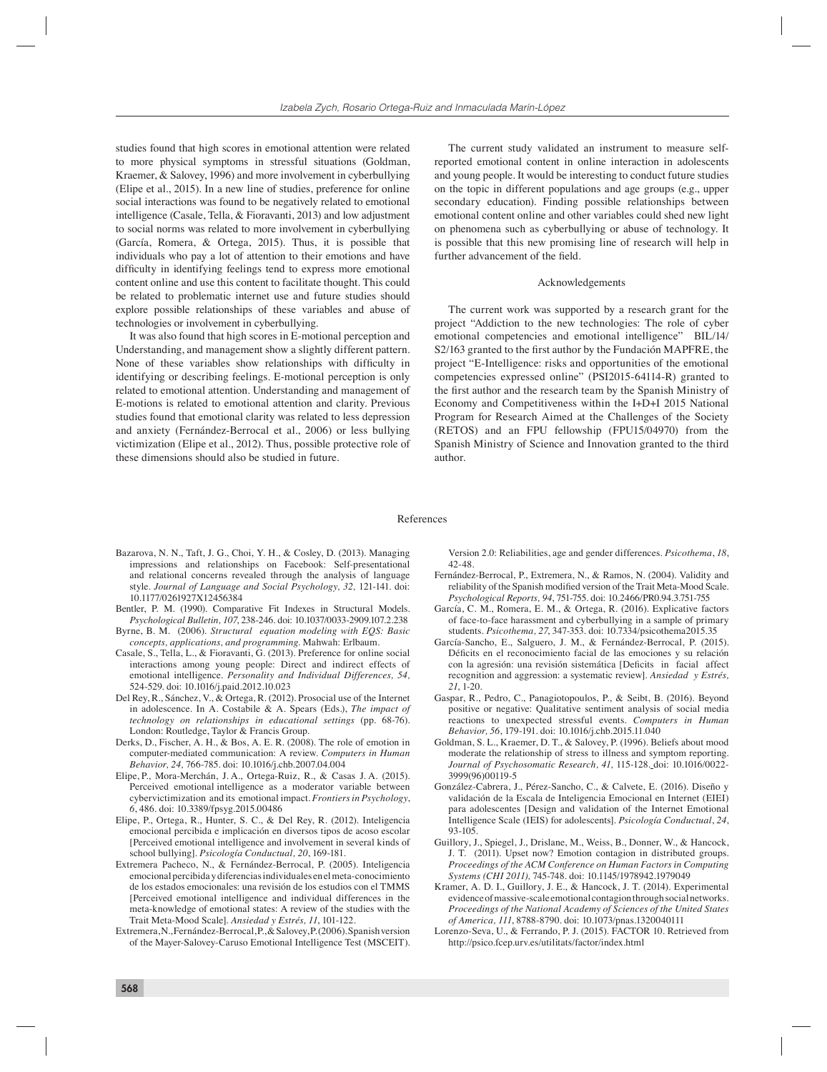studies found that high scores in emotional attention were related to more physical symptoms in stressful situations (Goldman, Kraemer, & Salovey, 1996) and more involvement in cyberbullying (Elipe et al., 2015). In a new line of studies, preference for online social interactions was found to be negatively related to emotional intelligence (Casale, Tella, & Fioravanti, 2013) and low adjustment to social norms was related to more involvement in cyberbullying (García, Romera, & Ortega, 2015). Thus, it is possible that individuals who pay a lot of attention to their emotions and have difficulty in identifying feelings tend to express more emotional content online and use this content to facilitate thought. This could be related to problematic internet use and future studies should explore possible relationships of these variables and abuse of technologies or involvement in cyberbullying.

It was also found that high scores in E-motional perception and Understanding, and management show a slightly different pattern. None of these variables show relationships with difficulty in identifying or describing feelings. E-motional perception is only related to emotional attention. Understanding and management of E-motions is related to emotional attention and clarity. Previous studies found that emotional clarity was related to less depression and anxiety (Fernández-Berrocal et al., 2006) or less bullying victimization (Elipe et al., 2012). Thus, possible protective role of these dimensions should also be studied in future.

The current study validated an instrument to measure selfreported emotional content in online interaction in adolescents and young people. It would be interesting to conduct future studies on the topic in different populations and age groups (e.g., upper secondary education). Finding possible relationships between emotional content online and other variables could shed new light on phenomena such as cyberbullying or abuse of technology. It is possible that this new promising line of research will help in further advancement of the field.

#### Acknowledgements

The current work was supported by a research grant for the project "Addiction to the new technologies: The role of cyber emotional competencies and emotional intelligence" BIL/14/ S2/163 granted to the first author by the Fundación MAPFRE, the project "E-Intelligence: risks and opportunities of the emotional competencies expressed online" (PSI2015-64114-R) granted to the first author and the research team by the Spanish Ministry of Economy and Competitiveness within the I+D+I 2015 National Program for Research Aimed at the Challenges of the Society (RETOS) and an FPU fellowship (FPU15/04970) from the Spanish Ministry of Science and Innovation granted to the third author.

# References

- Bazarova, N. N., Taft, J. G., Choi, Y. H., & Cosley, D. (2013). Managing impressions and relationships on Facebook: Self-presentational and relational concerns revealed through the analysis of language style. *Journal of Language and Social Psychology, 32,* 121-141. doi: 10.1177/0261927X12456384
- Bentler, P. M. (1990). Comparative Fit Indexes in Structural Models. *Psychological Bulletin, 107*, 238-246. doi: 10.1037/0033-2909.107.2.238
- Byrne, B. M. (2006). *Structural equation modeling with EQS: Basic concepts, applications, and programming*. Mahwah: Erlbaum.
- Casale, S., Tella, L., & Fioravanti, G. (2013). Preference for online social interactions among young people: Direct and indirect effects of emotional intelligence. *Personality and Individual Differences, 54,*  524-529. doi: 10.1016/j.paid.2012.10.023
- Del Rey, R., Sánchez, V., & Ortega, R. (2012). Prosocial use of the Internet in adolescence. In A. Costabile & A. Spears (Eds.), *The impact of technology on relationships in educational settings* (pp. 68-76). London: Routledge, Taylor & Francis Group.
- Derks, D., Fischer, A. H., & Bos, A. E. R. (2008). The role of emotion in computer-mediated communication: A review. *Computers in Human Behavior, 24,* 766-785. doi: 10.1016/j.chb.2007.04.004
- Elipe, P., Mora-Merchán, J. A., Ortega-Ruiz, R., & Casas J. A. (2015). Perceived emotional intelligence as a moderator variable between cybervictimization and its emotional impact. *Frontiers in Psychology*, *6*, 486. doi: 10.3389/fpsyg.2015.00486
- Elipe, P., Ortega, R., Hunter, S. C., & Del Rey, R. (2012). Inteligencia emocional percibida e implicación en diversos tipos de acoso escolar [Perceived emotional intelligence and involvement in several kinds of school bullying]. *Psicología Conductual, 20*, 169-181.
- Extremera Pacheco, N., & Fernández-Berrocal, P. (2005). Inteligencia emocional percibida y diferencias individuales en el meta-conocimiento de los estados emocionales: una revisión de los estudios con el TMMS [Perceived emotional intelligence and individual differences in the meta-knowledge of emotional states: A review of the studies with the Trait Meta-Mood Scale]. *Ansiedad y Estrés, 11*, 101-122.
- Extremera, N., Fernández-Berrocal, P., & Salovey, P. (2006). Spanish version of the Mayer-Salovey-Caruso Emotional Intelligence Test (MSCEIT).

Version 2.0: Reliabilities, age and gender differences. *Psicothema*, *18*, 42-48.

- Fernández-Berrocal, P., Extremera, N., & Ramos, N. (2004). Validity and reliability of the Spanish modified version of the Trait Meta-Mood Scale. *Psychological Reports, 94*, 751-755. doi: 10.2466/PR0.94.3.751-755
- García, C. M., Romera, E. M., & Ortega, R. (2016). Explicative factors of face-to-face harassment and cyberbullying in a sample of primary students. *Psicothema, 27*, 347-353. doi: 10.7334/psicothema2015.35
- García-Sancho, E., Salguero, J. M., & Fernández-Berrocal, P. (2015). Déficits en el reconocimiento facial de las emociones y su relación con la agresión: una revisión sistemática [Deficits in facial affect recognition and aggression: a systematic review]. *Ansiedad y Estrés, 21*, 1-20.
- Gaspar, R., Pedro, C., Panagiotopoulos, P., & Seibt, B. (2016). Beyond positive or negative: Qualitative sentiment analysis of social media reactions to unexpected stressful events. *Computers in Human Behavior, 56*, 179-191. doi: 10.1016/j.chb.2015.11.040
- Goldman, S. L., Kraemer, D. T., & Salovey, P. (1996). Beliefs about mood moderate the relationship of stress to illness and symptom reporting. *Journal of Psychosomatic Research, 41,* 115-128. doi: 10.1016/0022- 3999(96)00119-5
- González-Cabrera, J., Pérez-Sancho, C., & Calvete, E. (2016). Diseño y validación de la Escala de Inteligencia Emocional en Internet (EIEI) para adolescentes [Design and validation of the Internet Emotional Intelligence Scale (IEIS) for adolescents]. *Psicología Conductual*, *24*, 93-105.
- Guillory, J., Spiegel, J., Drislane, M., Weiss, B., Donner, W., & Hancock, J. T. (2011). Upset now? Emotion contagion in distributed groups. *Proceedings of the ACM Conference on Human Factors in Computing Systems (CHI 2011),* 745-748. doi: 10.1145/1978942.1979049
- Kramer, A. D. I., Guillory, J. E., & Hancock, J. T. (2014). Experimental evidence of massive-scale emotional contagion through social networks. *Proceedings of the National Academy of Sciences of the United States of America, 111*, 8788-8790. doi: 10.1073/pnas.1320040111
- Lorenzo-Seva, U., & Ferrando, P. J. (2015). FACTOR 10. Retrieved from http://psico.fcep.urv.es/utilitats/factor/index.html